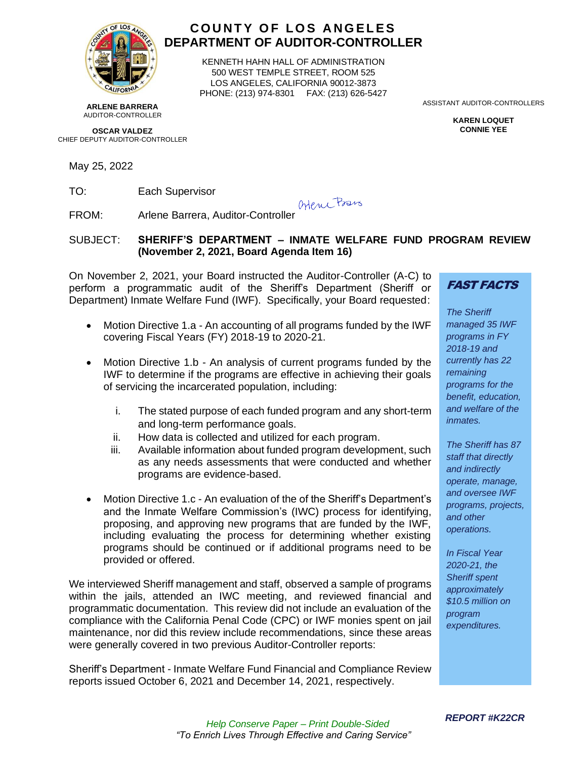

# **C O U N T Y O F L O S A N G E L E S DEPARTMENT OF AUDITOR-CONTROLLER**

KENNETH HAHN HALL OF ADMINISTRATION 500 WEST TEMPLE STREET, ROOM 525 LOS ANGELES, CALIFORNIA 90012-3873 PHONE: (213) 974-8301 FAX: (213) 626-5427

**ARLENE BARRERA** AUDITOR-CONTROLLER

**OSCAR VALDEZ** CHIEF DEPUTY AUDITOR-CONTROLLER

May 25, 2022

TO: Each Supervisor

Orene Bans

FROM: Arlene Barrera, Auditor-Controller

## SUBJECT: **SHERIFF'S DEPARTMENT – INMATE WELFARE FUND PROGRAM REVIEW (November 2, 2021, Board Agenda Item 16)**

On November 2, 2021, your Board instructed the Auditor-Controller (A-C) to perform a programmatic audit of the Sheriff's Department (Sheriff or Department) Inmate Welfare Fund (IWF). Specifically, your Board requested:

- Motion Directive 1.a An accounting of all programs funded by the IWF covering Fiscal Years (FY) 2018-19 to 2020-21.
- Motion Directive 1.b An analysis of current programs funded by the IWF to determine if the programs are effective in achieving their goals of servicing the incarcerated population, including:
	- i. The stated purpose of each funded program and any short-term and long-term performance goals.
	- ii. How data is collected and utilized for each program.
	- iii. Available information about funded program development, such as any needs assessments that were conducted and whether programs are evidence-based.
- Motion Directive 1.c An evaluation of the of the Sheriff's Department's and the Inmate Welfare Commission's (IWC) process for identifying, proposing, and approving new programs that are funded by the IWF, including evaluating the process for determining whether existing programs should be continued or if additional programs need to be provided or offered.

We interviewed Sheriff management and staff, observed a sample of programs within the jails, attended an IWC meeting, and reviewed financial and programmatic documentation. This review did not include an evaluation of the compliance with the California Penal Code (CPC) or IWF monies spent on jail maintenance, nor did this review include recommendations, since these areas were generally covered in two previous Auditor-Controller reports:

Sheriff's Department - Inmate Welfare Fund Financial and Compliance Review reports issued October 6, 2021 and December 14, 2021, respectively.

ASSISTANT AUDITOR-CONTROLLERS

**KAREN LOQUET CONNIE YEE**

FAST FACTS

*The Sheriff managed 35 IWF programs in FY 2018-19 and currently has 22 remaining programs for the benefit, education, and welfare of the inmates.*

*The Sheriff has 87 staff that directly and indirectly operate, manage, and oversee IWF programs, projects, and other operations.*

*In Fiscal Year 2020-21, the Sheriff spent approximately \$10.5 million on program expenditures.*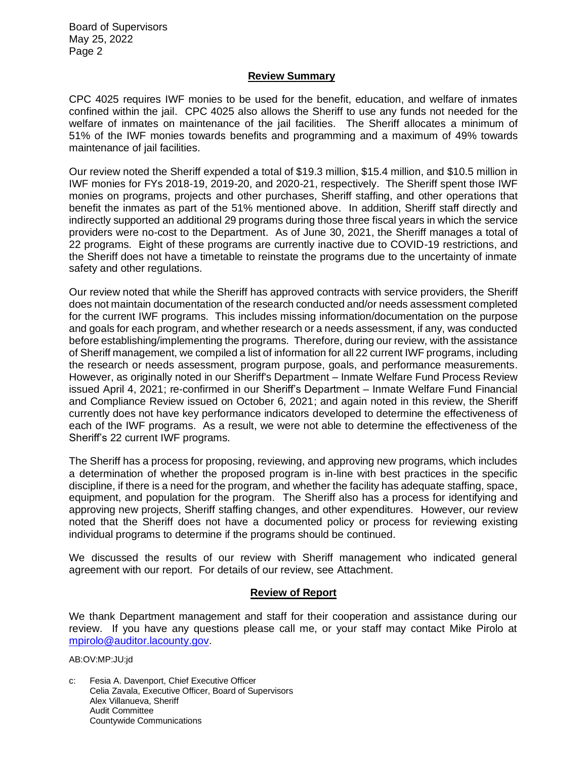Board of Supervisors May 25, 2022 Page 2

#### **Review Summary**

CPC 4025 requires IWF monies to be used for the benefit, education, and welfare of inmates confined within the jail. CPC 4025 also allows the Sheriff to use any funds not needed for the welfare of inmates on maintenance of the jail facilities. The Sheriff allocates a minimum of 51% of the IWF monies towards benefits and programming and a maximum of 49% towards maintenance of jail facilities.

Our review noted the Sheriff expended a total of \$19.3 million, \$15.4 million, and \$10.5 million in IWF monies for FYs 2018-19, 2019-20, and 2020-21, respectively. The Sheriff spent those IWF monies on programs, projects and other purchases, Sheriff staffing, and other operations that benefit the inmates as part of the 51% mentioned above. In addition, Sheriff staff directly and indirectly supported an additional 29 programs during those three fiscal years in which the service providers were no-cost to the Department. As of June 30, 2021, the Sheriff manages a total of 22 programs. Eight of these programs are currently inactive due to COVID-19 restrictions, and the Sheriff does not have a timetable to reinstate the programs due to the uncertainty of inmate safety and other regulations.

Our review noted that while the Sheriff has approved contracts with service providers, the Sheriff does not maintain documentation of the research conducted and/or needs assessment completed for the current IWF programs. This includes missing information/documentation on the purpose and goals for each program, and whether research or a needs assessment, if any, was conducted before establishing/implementing the programs. Therefore, during our review, with the assistance of Sheriff management, we compiled a list of information for all 22 current IWF programs, including the research or needs assessment, program purpose, goals, and performance measurements. However, as originally noted in our Sheriff's Department – Inmate Welfare Fund Process Review issued April 4, 2021; re-confirmed in our Sheriff's Department – Inmate Welfare Fund Financial and Compliance Review issued on October 6, 2021; and again noted in this review, the Sheriff currently does not have key performance indicators developed to determine the effectiveness of each of the IWF programs. As a result, we were not able to determine the effectiveness of the Sheriff's 22 current IWF programs.

The Sheriff has a process for proposing, reviewing, and approving new programs, which includes a determination of whether the proposed program is in-line with best practices in the specific discipline, if there is a need for the program, and whether the facility has adequate staffing, space, equipment, and population for the program. The Sheriff also has a process for identifying and approving new projects, Sheriff staffing changes, and other expenditures. However, our review noted that the Sheriff does not have a documented policy or process for reviewing existing individual programs to determine if the programs should be continued.

We discussed the results of our review with Sheriff management who indicated general agreement with our report. For details of our review, see Attachment.

#### **Review of Report**

We thank Department management and staff for their cooperation and assistance during our review. If you have any questions please call me, or your staff may contact Mike Pirolo at [mpirolo@auditor.lacounty.gov.](mailto:mpirolo@auditor.lacounty.gov)

AB:OV:MP:JU:jd

c: Fesia A. Davenport, Chief Executive Officer Celia Zavala, Executive Officer, Board of Supervisors Alex Villanueva, Sheriff Audit Committee Countywide Communications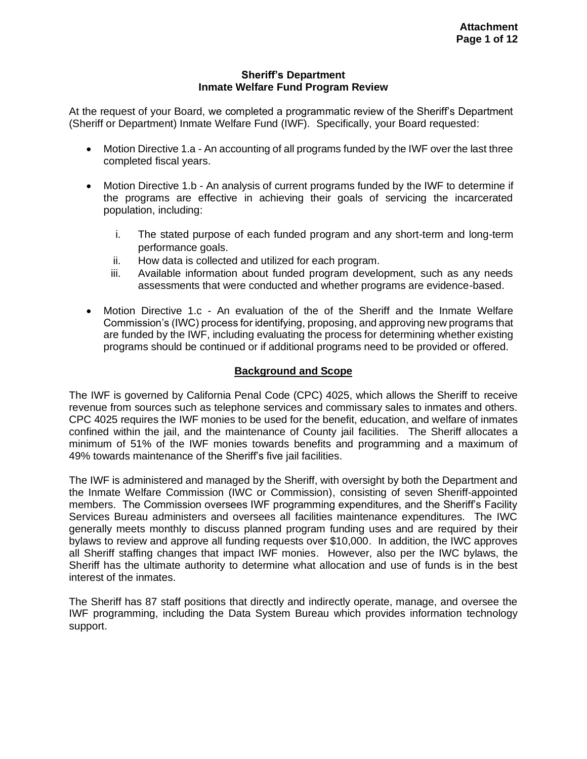#### **Sheriff's Department Inmate Welfare Fund Program Review**

At the request of your Board, we completed a programmatic review of the Sheriff's Department (Sheriff or Department) Inmate Welfare Fund (IWF). Specifically, your Board requested:

- Motion Directive 1.a An accounting of all programs funded by the IWF over the last three completed fiscal years.
- Motion Directive 1.b An analysis of current programs funded by the IWF to determine if the programs are effective in achieving their goals of servicing the incarcerated population, including:
	- i. The stated purpose of each funded program and any short-term and long-term performance goals.
	- ii. How data is collected and utilized for each program.
	- iii. Available information about funded program development, such as any needs assessments that were conducted and whether programs are evidence-based.
- Motion Directive 1.c An evaluation of the of the Sheriff and the Inmate Welfare Commission's (IWC) process for identifying, proposing, and approving new programs that are funded by the IWF, including evaluating the process for determining whether existing programs should be continued or if additional programs need to be provided or offered.

# **Background and Scope**

The IWF is governed by California Penal Code (CPC) 4025, which allows the Sheriff to receive revenue from sources such as telephone services and commissary sales to inmates and others. CPC 4025 requires the IWF monies to be used for the benefit, education, and welfare of inmates confined within the jail, and the maintenance of County jail facilities. The Sheriff allocates a minimum of 51% of the IWF monies towards benefits and programming and a maximum of 49% towards maintenance of the Sheriff's five jail facilities.

The IWF is administered and managed by the Sheriff, with oversight by both the Department and the Inmate Welfare Commission (IWC or Commission), consisting of seven Sheriff-appointed members. The Commission oversees IWF programming expenditures, and the Sheriff's Facility Services Bureau administers and oversees all facilities maintenance expenditures. The IWC generally meets monthly to discuss planned program funding uses and are required by their bylaws to review and approve all funding requests over \$10,000. In addition, the IWC approves all Sheriff staffing changes that impact IWF monies. However, also per the IWC bylaws, the Sheriff has the ultimate authority to determine what allocation and use of funds is in the best interest of the inmates.

The Sheriff has 87 staff positions that directly and indirectly operate, manage, and oversee the IWF programming, including the Data System Bureau which provides information technology support.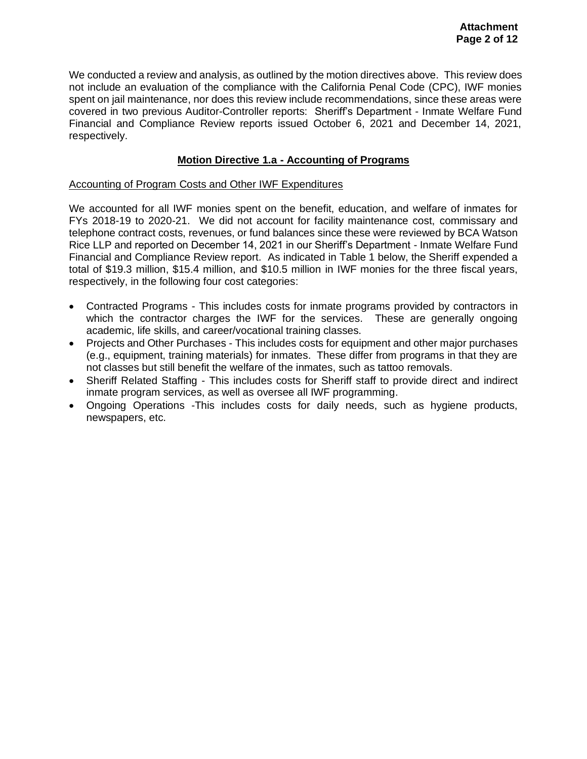We conducted a review and analysis, as outlined by the motion directives above. This review does not include an evaluation of the compliance with the California Penal Code (CPC), IWF monies spent on jail maintenance, nor does this review include recommendations, since these areas were covered in two previous Auditor-Controller reports: Sheriff's Department - Inmate Welfare Fund Financial and Compliance Review reports issued October 6, 2021 and December 14, 2021, respectively.

## **Motion Directive 1.a - Accounting of Programs**

### Accounting of Program Costs and Other IWF Expenditures

We accounted for all IWF monies spent on the benefit, education, and welfare of inmates for FYs 2018-19 to 2020-21. We did not account for facility maintenance cost, commissary and telephone contract costs, revenues, or fund balances since these were reviewed by BCA Watson Rice LLP and reported on December 14, 2021 in our Sheriff's Department - Inmate Welfare Fund Financial and Compliance Review report. As indicated in Table 1 below, the Sheriff expended a total of \$19.3 million, \$15.4 million, and \$10.5 million in IWF monies for the three fiscal years, respectively, in the following four cost categories:

- Contracted Programs This includes costs for inmate programs provided by contractors in which the contractor charges the IWF for the services. These are generally ongoing academic, life skills, and career/vocational training classes.
- Projects and Other Purchases This includes costs for equipment and other major purchases (e.g., equipment, training materials) for inmates. These differ from programs in that they are not classes but still benefit the welfare of the inmates, such as tattoo removals.
- Sheriff Related Staffing This includes costs for Sheriff staff to provide direct and indirect inmate program services, as well as oversee all IWF programming.
- Ongoing Operations -This includes costs for daily needs, such as hygiene products, newspapers, etc.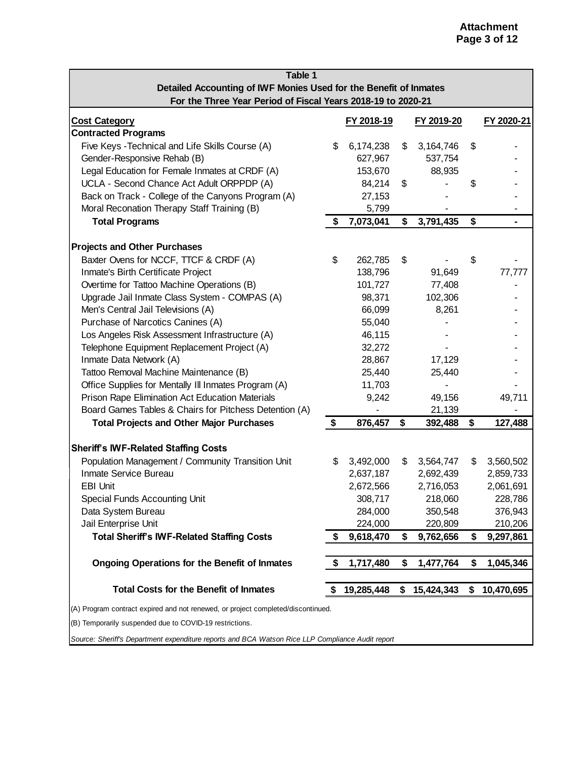| Table 1                                                                          |    |            |    |             |    |                |  |
|----------------------------------------------------------------------------------|----|------------|----|-------------|----|----------------|--|
| Detailed Accounting of IWF Monies Used for the Benefit of Inmates                |    |            |    |             |    |                |  |
| For the Three Year Period of Fiscal Years 2018-19 to 2020-21                     |    |            |    |             |    |                |  |
| <b>Cost Category</b>                                                             |    | FY 2018-19 |    | FY 2019-20  |    | FY 2020-21     |  |
| <b>Contracted Programs</b>                                                       |    |            |    |             |    |                |  |
| Five Keys - Technical and Life Skills Course (A)                                 | \$ | 6,174,238  | \$ | 3, 164, 746 | \$ |                |  |
| Gender-Responsive Rehab (B)                                                      |    | 627,967    |    | 537,754     |    |                |  |
| Legal Education for Female Inmates at CRDF (A)                                   |    | 153,670    |    | 88,935      |    |                |  |
| UCLA - Second Chance Act Adult ORPPDP (A)                                        |    | 84,214     | \$ |             | \$ |                |  |
| Back on Track - College of the Canyons Program (A)                               |    | 27,153     |    |             |    |                |  |
| Moral Reconation Therapy Staff Training (B)                                      |    | 5,799      |    |             |    |                |  |
| <b>Total Programs</b>                                                            | \$ | 7,073,041  | \$ | 3,791,435   | \$ | $\blacksquare$ |  |
| <b>Projects and Other Purchases</b>                                              |    |            |    |             |    |                |  |
| Baxter Ovens for NCCF, TTCF & CRDF (A)                                           | \$ | 262,785    | \$ |             | \$ |                |  |
| Inmate's Birth Certificate Project                                               |    | 138,796    |    | 91,649      |    | 77,777         |  |
| Overtime for Tattoo Machine Operations (B)                                       |    | 101,727    |    | 77,408      |    |                |  |
| Upgrade Jail Inmate Class System - COMPAS (A)                                    |    | 98,371     |    | 102,306     |    |                |  |
| Men's Central Jail Televisions (A)                                               |    | 66,099     |    | 8,261       |    |                |  |
| Purchase of Narcotics Canines (A)                                                |    | 55,040     |    |             |    |                |  |
| Los Angeles Risk Assessment Infrastructure (A)                                   |    | 46,115     |    |             |    |                |  |
| Telephone Equipment Replacement Project (A)                                      |    | 32,272     |    |             |    |                |  |
| Inmate Data Network (A)                                                          |    | 28,867     |    | 17,129      |    |                |  |
| Tattoo Removal Machine Maintenance (B)                                           |    | 25,440     |    | 25,440      |    |                |  |
| Office Supplies for Mentally III Inmates Program (A)                             |    | 11,703     |    |             |    |                |  |
| Prison Rape Elimination Act Education Materials                                  |    | 9,242      |    | 49,156      |    | 49,711         |  |
| Board Games Tables & Chairs for Pitchess Detention (A)                           |    |            |    | 21,139      |    |                |  |
| <b>Total Projects and Other Major Purchases</b>                                  | \$ | 876,457    | \$ | 392,488     | \$ | 127,488        |  |
| <b>Sheriff's IWF-Related Staffing Costs</b>                                      |    |            |    |             |    |                |  |
| Population Management / Community Transition Unit                                | \$ | 3,492,000  | \$ | 3,564,747   | \$ | 3,560,502      |  |
| Inmate Service Bureau                                                            |    | 2,637,187  |    | 2,692,439   |    | 2,859,733      |  |
| <b>EBI Unit</b>                                                                  |    | 2,672,566  |    | 2,716,053   |    | 2,061,691      |  |
| <b>Special Funds Accounting Unit</b>                                             |    | 308,717    |    | 218,060     |    | 228,786        |  |
| Data System Bureau                                                               |    | 284,000    |    | 350,548     |    | 376,943        |  |
| Jail Enterprise Unit                                                             |    | 224,000    |    | 220,809     |    | 210,206        |  |
| <b>Total Sheriff's IWF-Related Staffing Costs</b>                                | \$ | 9,618,470  | \$ | 9,762,656   | \$ | 9,297,861      |  |
| <b>Ongoing Operations for the Benefit of Inmates</b>                             | \$ | 1,717,480  | \$ | 1,477,764   | S  | 1,045,346      |  |
| <b>Total Costs for the Benefit of Inmates</b>                                    | S  | 19,285,448 | \$ | 15,424,343  | \$ | 10,470,695     |  |
| (A) Program contract expired and not renewed, or project completed/discontinued. |    |            |    |             |    |                |  |
| (B) Temporarily suspended due to COVID-19 restrictions.                          |    |            |    |             |    |                |  |

*Source: Sheriff's Department expenditure reports and BCA Watson Rice LLP Compliance Audit report*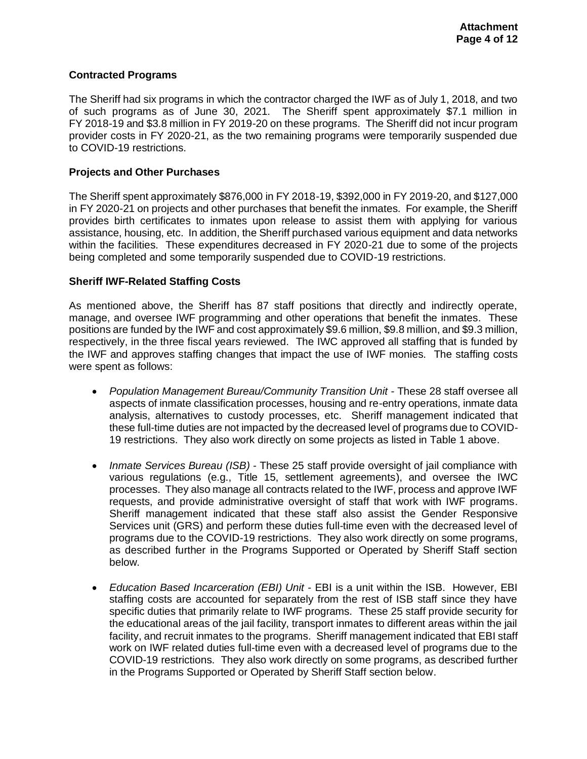## **Contracted Programs**

The Sheriff had six programs in which the contractor charged the IWF as of July 1, 2018, and two of such programs as of June 30, 2021. The Sheriff spent approximately \$7.1 million in FY 2018-19 and \$3.8 million in FY 2019-20 on these programs. The Sheriff did not incur program provider costs in FY 2020-21, as the two remaining programs were temporarily suspended due to COVID-19 restrictions.

## **Projects and Other Purchases**

The Sheriff spent approximately \$876,000 in FY 2018-19, \$392,000 in FY 2019-20, and \$127,000 in FY 2020-21 on projects and other purchases that benefit the inmates. For example, the Sheriff provides birth certificates to inmates upon release to assist them with applying for various assistance, housing, etc. In addition, the Sheriff purchased various equipment and data networks within the facilities. These expenditures decreased in FY 2020-21 due to some of the projects being completed and some temporarily suspended due to COVID-19 restrictions.

## **Sheriff IWF-Related Staffing Costs**

As mentioned above, the Sheriff has 87 staff positions that directly and indirectly operate, manage, and oversee IWF programming and other operations that benefit the inmates. These positions are funded by the IWF and cost approximately \$9.6 million, \$9.8 million, and \$9.3 million, respectively, in the three fiscal years reviewed. The IWC approved all staffing that is funded by the IWF and approves staffing changes that impact the use of IWF monies. The staffing costs were spent as follows:

- *Population Management Bureau/Community Transition Unit* These 28 staff oversee all aspects of inmate classification processes, housing and re-entry operations, inmate data analysis, alternatives to custody processes, etc. Sheriff management indicated that these full-time duties are not impacted by the decreased level of programs due to COVID-19 restrictions. They also work directly on some projects as listed in Table 1 above.
- *Inmate Services Bureau (ISB)* These 25 staff provide oversight of jail compliance with various regulations (e.g., Title 15, settlement agreements), and oversee the IWC processes. They also manage all contracts related to the IWF, process and approve IWF requests, and provide administrative oversight of staff that work with IWF programs. Sheriff management indicated that these staff also assist the Gender Responsive Services unit (GRS) and perform these duties full-time even with the decreased level of programs due to the COVID-19 restrictions. They also work directly on some programs, as described further in the Programs Supported or Operated by Sheriff Staff section below.
- *Education Based Incarceration (EBI) Unit* EBI is a unit within the ISB. However, EBI staffing costs are accounted for separately from the rest of ISB staff since they have specific duties that primarily relate to IWF programs. These 25 staff provide security for the educational areas of the jail facility, transport inmates to different areas within the jail facility, and recruit inmates to the programs. Sheriff management indicated that EBI staff work on IWF related duties full-time even with a decreased level of programs due to the COVID-19 restrictions. They also work directly on some programs, as described further in the Programs Supported or Operated by Sheriff Staff section below.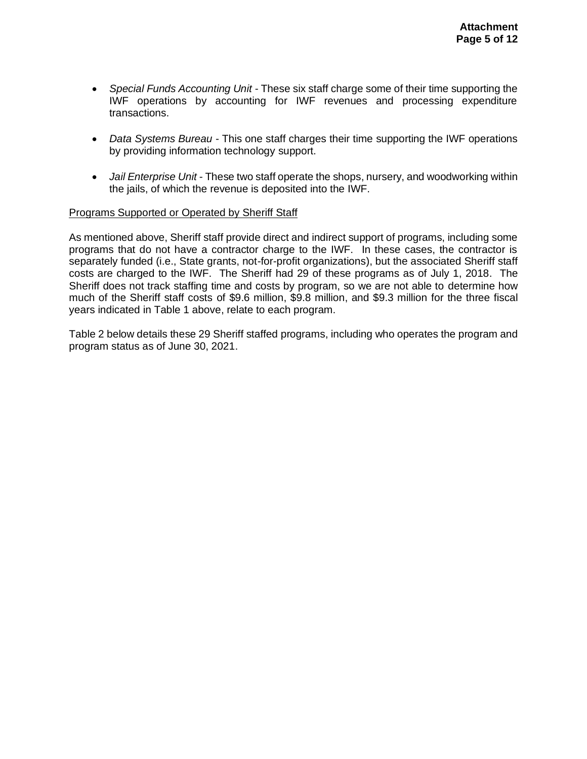- *Special Funds Accounting Unit* These six staff charge some of their time supporting the IWF operations by accounting for IWF revenues and processing expenditure transactions.
- *Data Systems Bureau* This one staff charges their time supporting the IWF operations by providing information technology support.
- *Jail Enterprise Unit* These two staff operate the shops, nursery, and woodworking within the jails, of which the revenue is deposited into the IWF.

#### Programs Supported or Operated by Sheriff Staff

As mentioned above, Sheriff staff provide direct and indirect support of programs, including some programs that do not have a contractor charge to the IWF. In these cases, the contractor is separately funded (i.e., State grants, not-for-profit organizations), but the associated Sheriff staff costs are charged to the IWF. The Sheriff had 29 of these programs as of July 1, 2018. The Sheriff does not track staffing time and costs by program, so we are not able to determine how much of the Sheriff staff costs of \$9.6 million, \$9.8 million, and \$9.3 million for the three fiscal years indicated in Table 1 above, relate to each program.

Table 2 below details these 29 Sheriff staffed programs, including who operates the program and program status as of June 30, 2021.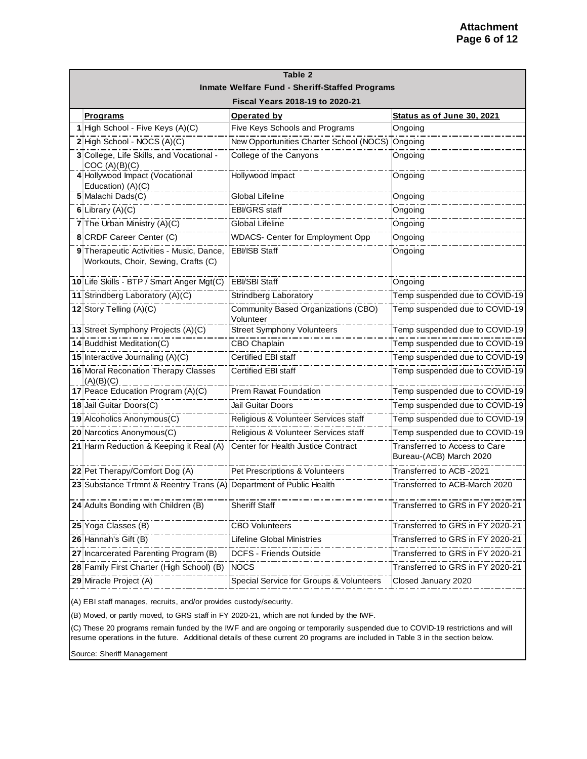| Table 2                                                                         |                                                  |                                                          |  |  |  |  |  |
|---------------------------------------------------------------------------------|--------------------------------------------------|----------------------------------------------------------|--|--|--|--|--|
| Inmate Welfare Fund - Sheriff-Staffed Programs                                  |                                                  |                                                          |  |  |  |  |  |
| Fiscal Years 2018-19 to 2020-21                                                 |                                                  |                                                          |  |  |  |  |  |
| <b>Programs</b>                                                                 | Operated by                                      | Status as of June 30, 2021                               |  |  |  |  |  |
| 1 High School - Five Keys (A)(C)                                                | Five Keys Schools and Programs                   | Ongoing                                                  |  |  |  |  |  |
| 2 High School - NOCS (A)(C)                                                     | New Opportunities Charter School (NOCS) Ongoing  |                                                          |  |  |  |  |  |
| 3 College, Life Skills, and Vocational -<br>COC (A)(B)(C)                       | College of the Canyons                           | Ongoing                                                  |  |  |  |  |  |
| 4 Hollywood Impact (Vocational<br>Education) (A)(C)                             | Hollywood Impact                                 | Ongoing                                                  |  |  |  |  |  |
| 5 Malachi Dads(C)                                                               | <b>Global Lifeline</b>                           | Ongoing                                                  |  |  |  |  |  |
| 6 Library $(A)(C)$                                                              | <b>EBI/GRS</b> staff                             | Ongoing                                                  |  |  |  |  |  |
| <b>7</b> The Urban Ministry $(A)(C)$                                            | Global Lifeline                                  | Ongoing                                                  |  |  |  |  |  |
| 8 CRDF Career Center (C)                                                        | <b>WDACS- Center for Employment Opp</b>          | Ongoing                                                  |  |  |  |  |  |
| 9 Therapeutic Activities - Music, Dance,<br>Workouts, Choir, Sewing, Crafts (C) | EBI/ISB Staff                                    | Ongoing                                                  |  |  |  |  |  |
| 10 Life Skills - BTP / Smart Anger Mgt(C)                                       | <b>EBI/SBI Staff</b>                             | Ongoing                                                  |  |  |  |  |  |
| 11 Strindberg Laboratory (A)(C)                                                 | <b>Strindberg Laboratory</b>                     | Temp suspended due to COVID-19                           |  |  |  |  |  |
| 12 Story Telling (A)(C)                                                         | Community Based Organizations (CBO)<br>Volunteer | Temp suspended due to COVID-19                           |  |  |  |  |  |
| 13 Street Symphony Projects (A)(C)                                              | <b>Street Symphony Volunteers</b>                | Temp suspended due to COVID-19                           |  |  |  |  |  |
| 14 Buddhist Meditation(C)                                                       | <b>CBO Chaplain</b>                              | Temp suspended due to COVID-19                           |  |  |  |  |  |
| 15 Interactive Journaling (A)(C)                                                | <b>Certified EBI staff</b>                       | Temp suspended due to COVID-19                           |  |  |  |  |  |
| 16 Moral Reconation Therapy Classes<br>(A)(B)(C)                                | <b>Certified EBI staff</b>                       | Temp suspended due to COVID-19                           |  |  |  |  |  |
| 17 Peace Education Program (A)(C)                                               | <b>Prem Rawat Foundation</b>                     | Temp suspended due to COVID-19                           |  |  |  |  |  |
| 18 Jail Guitar Doors(C)                                                         | Jail Guitar Doors                                | Temp suspended due to COVID-19                           |  |  |  |  |  |
| 19 Alcoholics Anonymous(C)                                                      | Religious & Volunteer Services staff             | Temp suspended due to COVID-19                           |  |  |  |  |  |
| 20 Narcotics Anonymous(C)                                                       | Religious & Volunteer Services staff             | Temp suspended due to COVID-19                           |  |  |  |  |  |
| 21 Harm Reduction & Keeping it Real (A)                                         | Center for Health Justice Contract               | Transferred to Access to Care<br>Bureau-(ACB) March 2020 |  |  |  |  |  |
| 22 Pet Therapy/Comfort Dog (A)                                                  | Pet Prescriptions & Volunteers                   | Transferred to ACB -2021                                 |  |  |  |  |  |
| 23 Substance Trtmnt & Reentry Trans (A) Department of Public Health             |                                                  | Transferred to ACB-March 2020                            |  |  |  |  |  |
| 24 Adults Bonding with Children (B)                                             | <b>Sheriff Staff</b>                             | Transferred to GRS in FY 2020-21                         |  |  |  |  |  |
| 25 Yoga Classes (B)                                                             | <b>CBO Volunteers</b>                            | Transferred to GRS in FY 2020-21                         |  |  |  |  |  |
| 26 Hannah's Gift (B)                                                            | <b>Lifeline Global Ministries</b>                | Transferred to GRS in FY 2020-21                         |  |  |  |  |  |
| 27 Incarcerated Parenting Program (B)                                           | DCFS - Friends Outside                           | Transferred to GRS in FY 2020-21                         |  |  |  |  |  |
| 28 Family First Charter (High School) (B)                                       | <b>NOCS</b>                                      | Transferred to GRS in FY 2020-21                         |  |  |  |  |  |
| 29 Miracle Project (A)                                                          | Special Service for Groups & Volunteers          | Closed January 2020                                      |  |  |  |  |  |

(A) EBI staff manages, recruits, and/or provides custody/security.

(B) Moved, or partly moved, to GRS staff in FY 2020-21, which are not funded by the IWF.

(C) These 20 programs remain funded by the IWF and are ongoing or temporarily suspended due to COVID-19 restrictions and will resume operations in the future. Additional details of these current 20 programs are included in Table 3 in the section below.

Source: Sheriff Management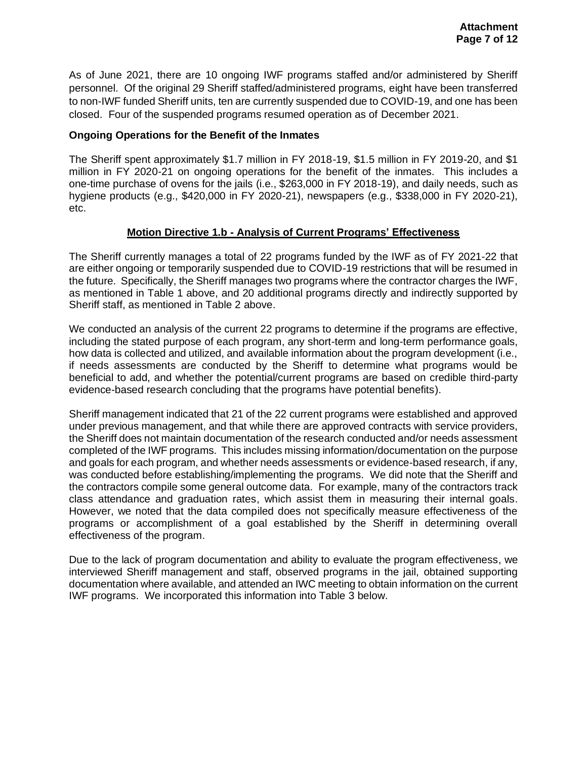As of June 2021, there are 10 ongoing IWF programs staffed and/or administered by Sheriff personnel. Of the original 29 Sheriff staffed/administered programs, eight have been transferred to non-IWF funded Sheriff units, ten are currently suspended due to COVID-19, and one has been closed. Four of the suspended programs resumed operation as of December 2021.

## **Ongoing Operations for the Benefit of the Inmates**

The Sheriff spent approximately \$1.7 million in FY 2018-19, \$1.5 million in FY 2019-20, and \$1 million in FY 2020-21 on ongoing operations for the benefit of the inmates. This includes a one-time purchase of ovens for the jails (i.e., \$263,000 in FY 2018-19), and daily needs, such as hygiene products (e.g., \$420,000 in FY 2020-21), newspapers (e.g., \$338,000 in FY 2020-21), etc.

# **Motion Directive 1.b - Analysis of Current Programs' Effectiveness**

The Sheriff currently manages a total of 22 programs funded by the IWF as of FY 2021-22 that are either ongoing or temporarily suspended due to COVID-19 restrictions that will be resumed in the future. Specifically, the Sheriff manages two programs where the contractor charges the IWF, as mentioned in Table 1 above, and 20 additional programs directly and indirectly supported by Sheriff staff, as mentioned in Table 2 above.

We conducted an analysis of the current 22 programs to determine if the programs are effective, including the stated purpose of each program, any short-term and long-term performance goals, how data is collected and utilized, and available information about the program development (i.e., if needs assessments are conducted by the Sheriff to determine what programs would be beneficial to add, and whether the potential/current programs are based on credible third-party evidence-based research concluding that the programs have potential benefits).

Sheriff management indicated that 21 of the 22 current programs were established and approved under previous management, and that while there are approved contracts with service providers, the Sheriff does not maintain documentation of the research conducted and/or needs assessment completed of the IWF programs. This includes missing information/documentation on the purpose and goals for each program, and whether needs assessments or evidence-based research, if any, was conducted before establishing/implementing the programs. We did note that the Sheriff and the contractors compile some general outcome data. For example, many of the contractors track class attendance and graduation rates, which assist them in measuring their internal goals. However, we noted that the data compiled does not specifically measure effectiveness of the programs or accomplishment of a goal established by the Sheriff in determining overall effectiveness of the program.

Due to the lack of program documentation and ability to evaluate the program effectiveness, we interviewed Sheriff management and staff, observed programs in the jail, obtained supporting documentation where available, and attended an IWC meeting to obtain information on the current IWF programs. We incorporated this information into Table 3 below.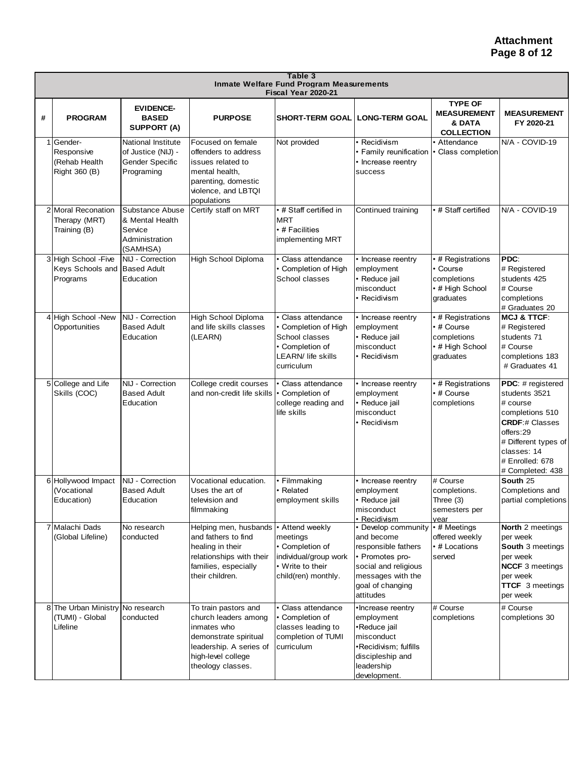|   | Table 3<br>Inmate Welfare Fund Program Measurements<br>Fiscal Year 2020-21 |                                                                                         |                                                                                                                                                            |                                                                                                                    |                                                                                                                                                           |                                                                                |                                                                                                                                                                                       |  |
|---|----------------------------------------------------------------------------|-----------------------------------------------------------------------------------------|------------------------------------------------------------------------------------------------------------------------------------------------------------|--------------------------------------------------------------------------------------------------------------------|-----------------------------------------------------------------------------------------------------------------------------------------------------------|--------------------------------------------------------------------------------|---------------------------------------------------------------------------------------------------------------------------------------------------------------------------------------|--|
| # | <b>PROGRAM</b>                                                             | <b>EVIDENCE-</b><br><b>BASED</b><br><b>SUPPORT (A)</b>                                  | <b>PURPOSE</b>                                                                                                                                             | SHORT-TERM GOAL   LONG-TERM GOAL                                                                                   |                                                                                                                                                           | <b>TYPE OF</b><br><b>MEASUREMENT</b><br>& DATA<br><b>COLLECTION</b>            | <b>MEASUREMENT</b><br>FY 2020-21                                                                                                                                                      |  |
|   | 1 Gender-<br>Responsive<br>(Rehab Health<br>Right 360 (B)                  | <b>National Institute</b><br>of Justice (NIJ) -<br><b>Gender Specific</b><br>Programing | Focused on female<br>offenders to address<br>issues related to<br>mental health.<br>parenting, domestic<br>violence, and LBTQI<br>populations              | Not provided                                                                                                       | Recidivism<br>• Family reunification<br>• Increase reentry<br>success                                                                                     | • Attendance<br>Class completion                                               | N/A - COVID-19                                                                                                                                                                        |  |
|   | 2 Moral Reconation<br>Therapy (MRT)<br>Training (B)                        | Substance Abuse<br>& Mental Health<br>Service<br>Administration<br>(SAMHSA)             | Certify staff on MRT                                                                                                                                       | • # Staff certified in<br>MRT<br>$\bm{\cdot}$ # Facilities<br>implementing MRT                                     | Continued training                                                                                                                                        | • # Staff certified                                                            | N/A - COVID-19                                                                                                                                                                        |  |
|   | 3 High School - Five<br>Keys Schools and<br>Programs                       | NIJ - Correction<br><b>Based Adult</b><br>Education                                     | High School Diploma                                                                                                                                        | Class attendance<br>• Completion of High<br>School classes                                                         | • Increase reentry<br>employment<br>• Reduce jail<br>misconduct<br>· Recidivism                                                                           | • # Registrations<br>• Course<br>completions<br>• # High School<br>graduates   | PDC:<br># Registered<br>students 425<br># Course<br>completions<br># Graduates 20                                                                                                     |  |
|   | 4 High School -New<br>Opportunities                                        | NIJ - Correction<br><b>Based Adult</b><br>Education                                     | High School Diploma<br>and life skills classes<br>(LEARN)                                                                                                  | Class attendance<br>Completion of High<br>School classes<br>• Completion of<br>LEARN/ life skills<br>curriculum    | • Increase reentry<br>employment<br>• Reduce jail<br>misconduct<br>• Recidivism                                                                           | • # Registrations<br>• # Course<br>completions<br>• # High School<br>graduates | <b>MCJ &amp; TTCF:</b><br># Registered<br>students 71<br># Course<br>completions 183<br># Graduates 41                                                                                |  |
|   | 5 College and Life<br>Skills (COC)                                         | NIJ - Correction<br><b>Based Adult</b><br>Education                                     | College credit courses<br>and non-credit life skills                                                                                                       | • Class attendance<br>• Completion of<br>college reading and<br>life skills                                        | • Increase reentry<br>employment<br>• Reduce jail<br>misconduct<br>• Recidivism                                                                           | • # Registrations<br>• # Course<br>completions                                 | PDC: # registered<br>students 3521<br># course<br>completions 510<br><b>CRDF:# Classes</b><br>offers:29<br># Different types of<br>classes: 14<br># Enrolled: 678<br># Completed: 438 |  |
|   | 6 Hollywood Impact<br>(Vocational<br>Education)                            | NIJ - Correction<br><b>Based Adult</b><br>Education                                     | Vocational education.<br>Uses the art of<br>television and<br>filmmaking                                                                                   | Filmmaking<br>• Related<br>employment skills                                                                       | • Increase reentry<br>employment<br>· Reduce jail<br>misconduct<br>· Recidivism                                                                           | # Course<br>completions.<br>Three (3)<br>semesters per<br>vear                 | South 25<br>Completions and<br>partial completions                                                                                                                                    |  |
|   | 7 Malachi Dads<br>(Global Lifeline)                                        | No research<br>conducted                                                                | Helping men, husbands<br>and fathers to find<br>healing in their<br>relationships with their<br>families, especially<br>their children.                    | • Attend weekly<br>meetings<br>• Completion of<br>individual/group work<br>• Write to their<br>child(ren) monthly. | • Develop community<br>and become<br>responsible fathers<br>• Promotes pro-<br>social and religious<br>messages with the<br>goal of changing<br>attitudes | • # Meetings<br>offered weekly<br>• # Locations<br>served                      | North 2 meetings<br>per week<br><b>South 3 meetings</b><br>per week<br><b>NCCF</b> 3 meetings<br>per week<br><b>TTCF</b> 3 meetings<br>per week                                       |  |
|   | 8 The Urban Ministry No research<br>(TUMI) - Global<br>Lifeline            | conducted                                                                               | To train pastors and<br>church leaders among<br>inmates who<br>demonstrate spiritual<br>leadership. A series of<br>high-level college<br>theology classes. | • Class attendance<br>• Completion of<br>classes leading to<br>completion of TUMI<br>curriculum                    | •Increase reentry<br>employment<br>•Reduce jail<br>misconduct<br>•Recidivism; fulfills<br>discipleship and<br>leadership<br>development.                  | # Course<br>completions                                                        | # Course<br>completions 30                                                                                                                                                            |  |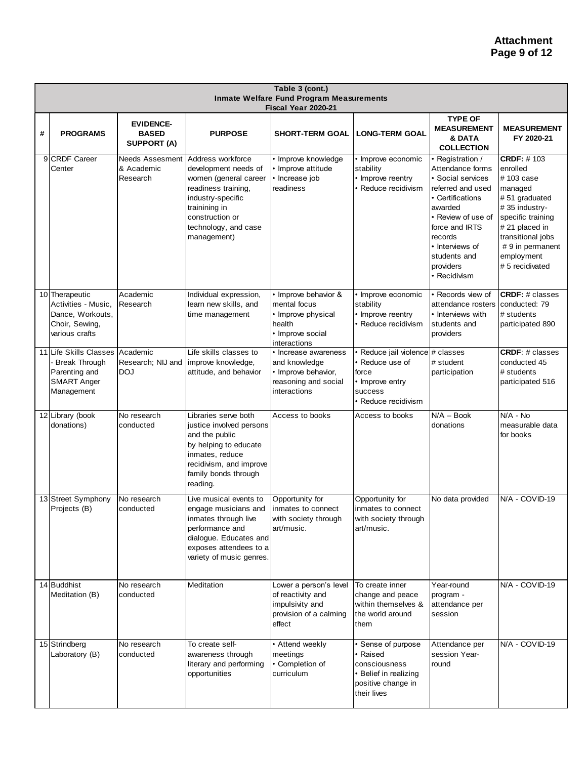| Table 3 (cont.)<br><b>Inmate Welfare Fund Program Measurements</b><br>Fiscal Year 2020-21 |                                                                                                     |                                                        |                                                                                                                                                                                           |                                                                                                          |                                                                                                                  |                                                                                                                                                                                                                                     |                                                                                                                                                                                                          |  |
|-------------------------------------------------------------------------------------------|-----------------------------------------------------------------------------------------------------|--------------------------------------------------------|-------------------------------------------------------------------------------------------------------------------------------------------------------------------------------------------|----------------------------------------------------------------------------------------------------------|------------------------------------------------------------------------------------------------------------------|-------------------------------------------------------------------------------------------------------------------------------------------------------------------------------------------------------------------------------------|----------------------------------------------------------------------------------------------------------------------------------------------------------------------------------------------------------|--|
| #                                                                                         | <b>PROGRAMS</b>                                                                                     | <b>EVIDENCE-</b><br><b>BASED</b><br><b>SUPPORT (A)</b> | <b>PURPOSE</b>                                                                                                                                                                            | <b>SHORT-TERM GOAL</b>                                                                                   | <b>LONG-TERM GOAL</b>                                                                                            | <b>TYPE OF</b><br><b>MEASUREMENT</b><br>& DATA<br><b>COLLECTION</b>                                                                                                                                                                 | <b>MEASUREMENT</b><br>FY 2020-21                                                                                                                                                                         |  |
|                                                                                           | 9 CRDF Career<br>Center                                                                             | <b>Needs Assesment</b><br>& Academic<br>Research       | Address workforce<br>development needs of<br>women (general career<br>readiness training,<br>industry-specific<br>trainining in<br>construction or<br>technology, and case<br>management) | Improve knowledge<br>· Improve attitude<br>• Increase job<br>readiness                                   | · Improve economic<br>stability<br>• Improve reentry<br>Reduce recidivism                                        | Registration /<br>Attendance forms<br>Social services<br>referred and used<br>• Certifications<br>awarded<br>• Review of use of<br>force and <b>IRTS</b><br>records<br>• Interviews of<br>students and<br>providers<br>· Recidivism | <b>CRDF: #103</b><br>enrolled<br>#103 case<br>managed<br># 51 graduated<br>#35 industry-<br>specific training<br># 21 placed in<br>transitional jobs<br>#9 in permanent<br>employment<br># 5 recidivated |  |
|                                                                                           | 10 Therapeutic<br>Activities - Music,<br>Dance, Workouts,<br>Choir, Sewing,<br>various crafts       | Academic<br>Research                                   | Individual expression,<br>learn new skills, and<br>time management                                                                                                                        | • Improve behavior &<br>mental focus<br>• Improve physical<br>health<br>• Improve social<br>interactions | · Improve economic<br>stability<br>• Improve reentry<br>Reduce recidivism                                        | Records view of<br>attendance rosters conducted: 79<br>• Interviews with<br>students and<br>providers                                                                                                                               | <b>CRDF:</b> # classes<br># students<br>participated 890                                                                                                                                                 |  |
|                                                                                           | 11 Life Skills Classes<br><b>Break Through</b><br>Parenting and<br><b>SMART Anger</b><br>Management | Academic<br>Research; NIJ and<br><b>DOJ</b>            | Life skills classes to<br>improve knowledge,<br>attitude, and behavior                                                                                                                    | • Increase awareness<br>and knowledge<br>• Improve behavior,<br>reasoning and social<br>interactions     | Reduce jail violence # classes<br>Reduce use of<br>force<br>• Improve entry<br>success<br>Reduce recidivism      | # student<br>participation                                                                                                                                                                                                          | <b>CRDF: # classes</b><br>conducted 45<br># students<br>participated 516                                                                                                                                 |  |
|                                                                                           | 12 Library (book<br>donations)                                                                      | No research<br>conducted                               | Libraries serve both<br>justice involved persons<br>and the public<br>by helping to educate<br>inmates, reduce<br>recidivism, and improve<br>family bonds through<br>reading.             | Access to books                                                                                          | Access to books                                                                                                  | $N/A - Book$<br>donations                                                                                                                                                                                                           | N/A - No<br>measurable data<br>for books                                                                                                                                                                 |  |
|                                                                                           | 13 Street Symphony<br>Projects (B)                                                                  | No research<br>conducted                               | Live musical events to<br>engage musicians and<br>inmates through live<br>performance and<br>dialogue. Educates and<br>exposes attendees to a<br>variety of music genres.                 | Opportunity for<br>inmates to connect<br>with society through<br>art/music.                              | Opportunity for<br>inmates to connect<br>with society through<br>art/music.                                      | No data provided                                                                                                                                                                                                                    | N/A - COVID-19                                                                                                                                                                                           |  |
|                                                                                           | 14 Buddhist<br>Meditation (B)                                                                       | No research<br>conducted                               | Meditation                                                                                                                                                                                | Lower a person's level<br>of reactivity and<br>impulsivity and<br>provision of a calming<br>effect       | To create inner<br>change and peace<br>within themselves &<br>the world around<br>them                           | Year-round<br>program -<br>attendance per<br>session                                                                                                                                                                                | N/A - COVID-19                                                                                                                                                                                           |  |
|                                                                                           | 15 Strindberg<br>Laboratory (B)                                                                     | No research<br>conducted                               | To create self-<br>awareness through<br>literary and performing<br>opportunities                                                                                                          | • Attend weekly<br>meetings<br>• Completion of<br>curriculum                                             | Sense of purpose<br>⋅ Raised<br>consciousness<br><b>Belief in realizing</b><br>positive change in<br>their lives | Attendance per<br>session Year-<br>round                                                                                                                                                                                            | N/A - COVID-19                                                                                                                                                                                           |  |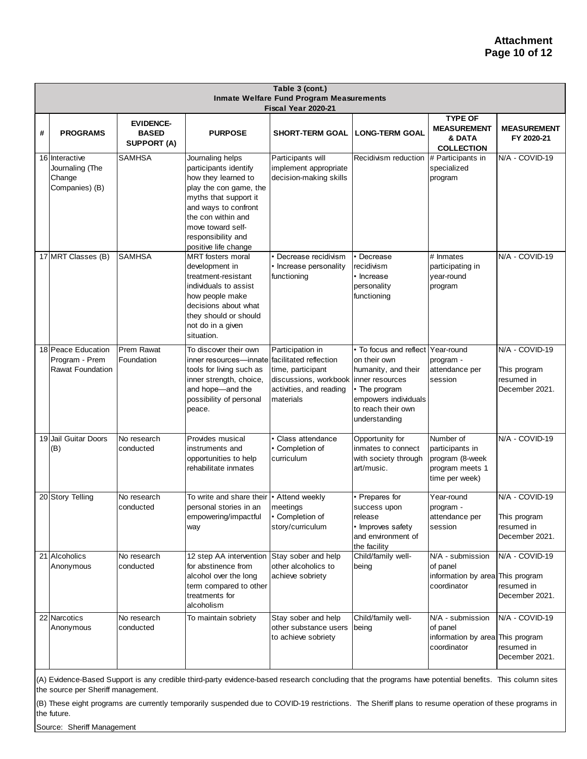|   | Table 3 (cont.)<br>Inmate Welfare Fund Program Measurements<br>Fiscal Year 2020-21 |                                                        |                                                                                                                                                                                                                                      |                                                                                                        |                                                                                                                                                                             |                                                                                      |                                                                |  |  |
|---|------------------------------------------------------------------------------------|--------------------------------------------------------|--------------------------------------------------------------------------------------------------------------------------------------------------------------------------------------------------------------------------------------|--------------------------------------------------------------------------------------------------------|-----------------------------------------------------------------------------------------------------------------------------------------------------------------------------|--------------------------------------------------------------------------------------|----------------------------------------------------------------|--|--|
| # | <b>PROGRAMS</b>                                                                    | <b>EVIDENCE-</b><br><b>BASED</b><br><b>SUPPORT (A)</b> | <b>PURPOSE</b>                                                                                                                                                                                                                       | <b>SHORT-TERM GOAL</b>                                                                                 | <b>LONG-TERM GOAL</b>                                                                                                                                                       | <b>TYPE OF</b><br><b>MEASUREMENT</b><br>& DATA<br><b>COLLECTION</b>                  | <b>MEASUREMENT</b><br>FY 2020-21                               |  |  |
|   | 16 Interactive<br>Journaling (The<br>Change<br>Companies) (B)                      | <b>SAMHSA</b>                                          | Journaling helps<br>participants identify<br>how they learned to<br>play the con game, the<br>myths that support it<br>and ways to confront<br>the con within and<br>move toward self-<br>responsibility and<br>positive life change | Participants will<br>implement appropriate<br>decision-making skills                                   | Recidivism reduction                                                                                                                                                        | # Participants in<br>specialized<br>program                                          | N/A - COVID-19                                                 |  |  |
|   | 17 MRT Classes (B)                                                                 | <b>SAMHSA</b>                                          | <b>MRT</b> fosters moral<br>development in<br>treatment-resistant<br>individuals to assist<br>how people make<br>decisions about what<br>they should or should<br>not do in a given<br>situation.                                    | Decrease recidivism<br>Increase personality<br>functioning                                             | • Decrease<br>recidivism<br>• Increase<br>personality<br>functioning                                                                                                        | # Inmates<br>participating in<br>year-round<br>program                               | N/A - COVID-19                                                 |  |  |
|   | 18 Peace Education<br>Program - Prem<br><b>Rawat Foundation</b>                    | <b>Prem Rawat</b><br>Foundation                        | To discover their own<br>inner resources—innate facilitated reflection<br>tools for living such as<br>inner strength, choice,<br>and hope-and the<br>possibility of personal<br>peace.                                               | Participation in<br>time, participant<br>discussions, workbook<br>activities, and reading<br>materials | • To focus and reflect Year-round<br>on their own<br>humanity, and their<br>inner resources<br>• The program<br>empowers individuals<br>to reach their own<br>understanding | program -<br>attendance per<br>session                                               | N/A - COVID-19<br>This program<br>resumed in<br>December 2021. |  |  |
|   | 19 Jail Guitar Doors<br>(B)                                                        | No research<br>conducted                               | Provides musical<br>instruments and<br>opportunities to help<br>rehabilitate inmates                                                                                                                                                 | Class attendance<br>• Completion of<br>curriculum                                                      | Opportunity for<br>inmates to connect<br>with society through<br>art/music.                                                                                                 | Number of<br>participants in<br>program (8-week<br>program meets 1<br>time per week) | N/A - COVID-19                                                 |  |  |
|   | 20 Story Telling                                                                   | No research<br>conducted                               | To write and share their   • Attend weekly<br>personal stories in an<br>empowering/impactful<br>way                                                                                                                                  | meetings<br>• Completion of<br>story/curriculum                                                        | • Prepares for<br>success upon<br>release<br>• Improves safety<br>and environment of<br>the facility                                                                        | Year-round<br>program -<br>attendance per<br>session                                 | N/A - COVID-19<br>This program<br>resumed in<br>December 2021. |  |  |
|   | 21 Alcoholics<br>Anonymous                                                         | No research<br>conducted                               | 12 step AA intervention Stay sober and help<br>for abstinence from<br>alcohol over the long<br>term compared to other<br>treatments for<br>alcoholism                                                                                | other alcoholics to<br>achieve sobriety                                                                | Child/family well-<br>being                                                                                                                                                 | N/A - submission<br>of panel<br>information by area This program<br>coordinator      | N/A - COVID-19<br>resumed in<br>December 2021.                 |  |  |
|   | 22 Narcotics<br>Anonymous                                                          | No research<br>conducted                               | To maintain sobriety                                                                                                                                                                                                                 | Stay sober and help<br>other substance users<br>to achieve sobriety                                    | Child/family well-<br>being                                                                                                                                                 | N/A - submission<br>of panel<br>information by area This program<br>coordinator      | N/A - COVID-19<br>resumed in<br>December 2021.                 |  |  |

(A) Evidence-Based Support is any credible third-party evidence-based research concluding that the programs have potential benefits. This column sites the source per Sheriff management.

(B) These eight programs are currently temporarily suspended due to COVID-19 restrictions. The Sheriff plans to resume operation of these programs in the future.

Source: Sheriff Management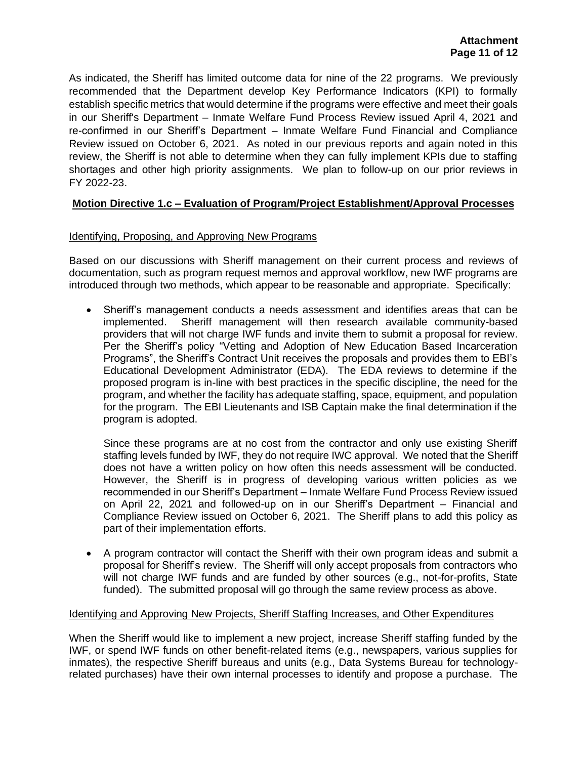As indicated, the Sheriff has limited outcome data for nine of the 22 programs. We previously recommended that the Department develop Key Performance Indicators (KPI) to formally establish specific metrics that would determine if the programs were effective and meet their goals in our Sheriff's Department – Inmate Welfare Fund Process Review issued April 4, 2021 and re-confirmed in our Sheriff's Department – Inmate Welfare Fund Financial and Compliance Review issued on October 6, 2021. As noted in our previous reports and again noted in this review, the Sheriff is not able to determine when they can fully implement KPIs due to staffing shortages and other high priority assignments. We plan to follow-up on our prior reviews in FY 2022-23.

# **Motion Directive 1.c – Evaluation of Program/Project Establishment/Approval Processes**

# Identifying, Proposing, and Approving New Programs

Based on our discussions with Sheriff management on their current process and reviews of documentation, such as program request memos and approval workflow, new IWF programs are introduced through two methods, which appear to be reasonable and appropriate. Specifically:

• Sheriff's management conducts a needs assessment and identifies areas that can be implemented. Sheriff management will then research available community-based providers that will not charge IWF funds and invite them to submit a proposal for review. Per the Sheriff's policy "Vetting and Adoption of New Education Based Incarceration Programs", the Sheriff's Contract Unit receives the proposals and provides them to EBI's Educational Development Administrator (EDA). The EDA reviews to determine if the proposed program is in-line with best practices in the specific discipline, the need for the program, and whether the facility has adequate staffing, space, equipment, and population for the program. The EBI Lieutenants and ISB Captain make the final determination if the program is adopted.

Since these programs are at no cost from the contractor and only use existing Sheriff staffing levels funded by IWF, they do not require IWC approval. We noted that the Sheriff does not have a written policy on how often this needs assessment will be conducted. However, the Sheriff is in progress of developing various written policies as we recommended in our Sheriff's Department – Inmate Welfare Fund Process Review issued on April 22, 2021 and followed-up on in our Sheriff's Department – Financial and Compliance Review issued on October 6, 2021. The Sheriff plans to add this policy as part of their implementation efforts.

• A program contractor will contact the Sheriff with their own program ideas and submit a proposal for Sheriff's review. The Sheriff will only accept proposals from contractors who will not charge IWF funds and are funded by other sources (e.g., not-for-profits, State funded). The submitted proposal will go through the same review process as above.

# Identifying and Approving New Projects, Sheriff Staffing Increases, and Other Expenditures

When the Sheriff would like to implement a new project, increase Sheriff staffing funded by the IWF, or spend IWF funds on other benefit-related items (e.g., newspapers, various supplies for inmates), the respective Sheriff bureaus and units (e.g., Data Systems Bureau for technologyrelated purchases) have their own internal processes to identify and propose a purchase. The